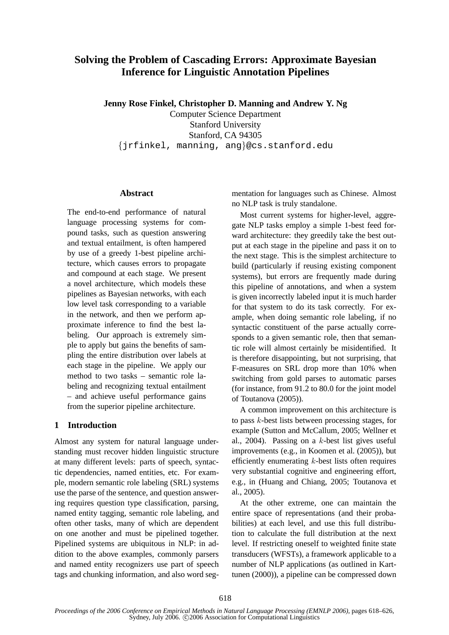# **Solving the Problem of Cascading Errors: Approximate Bayesian Inference for Linguistic Annotation Pipelines**

**Jenny Rose Finkel, Christopher D. Manning and Andrew Y. Ng**

Computer Science Department Stanford University Stanford, CA 94305 {jrfinkel, manning, ang}@cs.stanford.edu

## **Abstract**

The end-to-end performance of natural language processing systems for compound tasks, such as question answering and textual entailment, is often hampered by use of a greedy 1-best pipeline architecture, which causes errors to propagate and compound at each stage. We present a novel architecture, which models these pipelines as Bayesian networks, with each low level task corresponding to a variable in the network, and then we perform approximate inference to find the best labeling. Our approach is extremely simple to apply but gains the benefits of sampling the entire distribution over labels at each stage in the pipeline. We apply our method to two tasks – semantic role labeling and recognizing textual entailment – and achieve useful performance gains from the superior pipeline architecture.

## **1 Introduction**

Almost any system for natural language understanding must recover hidden linguistic structure at many different levels: parts of speech, syntactic dependencies, named entities, etc. For example, modern semantic role labeling (SRL) systems use the parse of the sentence, and question answering requires question type classification, parsing, named entity tagging, semantic role labeling, and often other tasks, many of which are dependent on one another and must be pipelined together. Pipelined systems are ubiquitous in NLP: in addition to the above examples, commonly parsers and named entity recognizers use part of speech tags and chunking information, and also word segmentation for languages such as Chinese. Almost no NLP task is truly standalone.

Most current systems for higher-level, aggregate NLP tasks employ a simple 1-best feed forward architecture: they greedily take the best output at each stage in the pipeline and pass it on to the next stage. This is the simplest architecture to build (particularly if reusing existing component systems), but errors are frequently made during this pipeline of annotations, and when a system is given incorrectly labeled input it is much harder for that system to do its task correctly. For example, when doing semantic role labeling, if no syntactic constituent of the parse actually corresponds to a given semantic role, then that semantic role will almost certainly be misidentified. It is therefore disappointing, but not surprising, that F-measures on SRL drop more than 10% when switching from gold parses to automatic parses (for instance, from 91.2 to 80.0 for the joint model of Toutanova (2005)).

A common improvement on this architecture is to pass  $k$ -best lists between processing stages, for example (Sutton and McCallum, 2005; Wellner et al., 2004). Passing on a  $k$ -best list gives useful improvements (e.g., in Koomen et al. (2005)), but efficiently enumerating  $k$ -best lists often requires very substantial cognitive and engineering effort, e.g., in (Huang and Chiang, 2005; Toutanova et al., 2005).

At the other extreme, one can maintain the entire space of representations (and their probabilities) at each level, and use this full distribution to calculate the full distribution at the next level. If restricting oneself to weighted finite state transducers (WFSTs), a framework applicable to a number of NLP applications (as outlined in Karttunen (2000)), a pipeline can be compressed down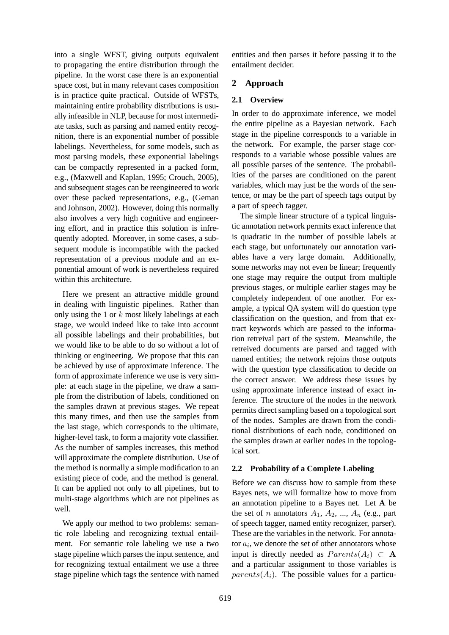into a single WFST, giving outputs equivalent to propagating the entire distribution through the pipeline. In the worst case there is an exponential space cost, but in many relevant cases composition is in practice quite practical. Outside of WFSTs, maintaining entire probability distributions is usually infeasible in NLP, because for most intermediate tasks, such as parsing and named entity recognition, there is an exponential number of possible labelings. Nevertheless, for some models, such as most parsing models, these exponential labelings can be compactly represented in a packed form, e.g., (Maxwell and Kaplan, 1995; Crouch, 2005), and subsequent stages can be reengineered to work over these packed representations, e.g., (Geman and Johnson, 2002). However, doing this normally also involves a very high cognitive and engineering effort, and in practice this solution is infrequently adopted. Moreover, in some cases, a subsequent module is incompatible with the packed representation of a previous module and an exponential amount of work is nevertheless required within this architecture.

Here we present an attractive middle ground in dealing with linguistic pipelines. Rather than only using the 1 or  $k$  most likely labelings at each stage, we would indeed like to take into account all possible labelings and their probabilities, but we would like to be able to do so without a lot of thinking or engineering. We propose that this can be achieved by use of approximate inference. The form of approximate inference we use is very simple: at each stage in the pipeline, we draw a sample from the distribution of labels, conditioned on the samples drawn at previous stages. We repeat this many times, and then use the samples from the last stage, which corresponds to the ultimate, higher-level task, to form a majority vote classifier. As the number of samples increases, this method will approximate the complete distribution. Use of the method is normally a simple modification to an existing piece of code, and the method is general. It can be applied not only to all pipelines, but to multi-stage algorithms which are not pipelines as well.

We apply our method to two problems: semantic role labeling and recognizing textual entailment. For semantic role labeling we use a two stage pipeline which parses the input sentence, and for recognizing textual entailment we use a three stage pipeline which tags the sentence with named entities and then parses it before passing it to the entailment decider.

## **2 Approach**

## **2.1 Overview**

In order to do approximate inference, we model the entire pipeline as a Bayesian network. Each stage in the pipeline corresponds to a variable in the network. For example, the parser stage corresponds to a variable whose possible values are all possible parses of the sentence. The probabilities of the parses are conditioned on the parent variables, which may just be the words of the sentence, or may be the part of speech tags output by a part of speech tagger.

The simple linear structure of a typical linguistic annotation network permits exact inference that is quadratic in the number of possible labels at each stage, but unfortunately our annotation variables have a very large domain. Additionally, some networks may not even be linear; frequently one stage may require the output from multiple previous stages, or multiple earlier stages may be completely independent of one another. For example, a typical QA system will do question type classification on the question, and from that extract keywords which are passed to the information retreival part of the system. Meanwhile, the retreived documents are parsed and tagged with named entities; the network rejoins those outputs with the question type classification to decide on the correct answer. We address these issues by using approximate inference instead of exact inference. The structure of the nodes in the network permits direct sampling based on a topological sort of the nodes. Samples are drawn from the conditional distributions of each node, conditioned on the samples drawn at earlier nodes in the topological sort.

## **2.2 Probability of a Complete Labeling**

Before we can discuss how to sample from these Bayes nets, we will formalize how to move from an annotation pipeline to a Bayes net. Let A be the set of *n* annotators  $A_1$ ,  $A_2$ , ...,  $A_n$  (e.g., part of speech tagger, named entity recognizer, parser). These are the variables in the network. For annotator  $a_i$ , we denote the set of other annotators whose input is directly needed as  $Parents(A_i) \subset \mathbf{A}$ and a particular assignment to those variables is  $parents(A_i)$ . The possible values for a particu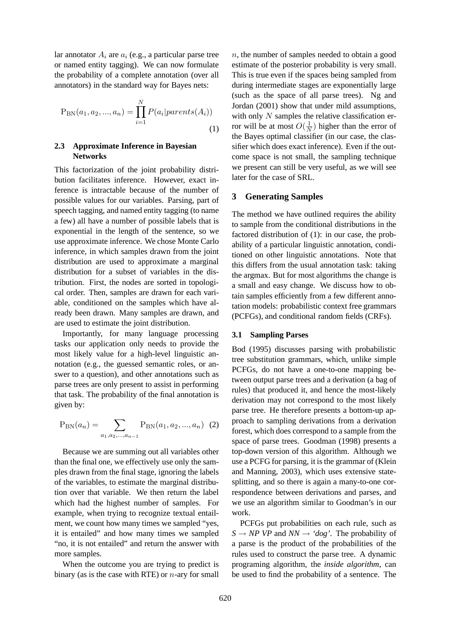lar annotator  $A_i$  are  $a_i$  (e.g., a particular parse tree or named entity tagging). We can now formulate the probability of a complete annotation (over all annotators) in the standard way for Bayes nets:

$$
P_{BN}(a_1, a_2, ..., a_n) = \prod_{i=1}^{N} P(a_i | parents(A_i))
$$
\n(1)

## **2.3 Approximate Inference in Bayesian Networks**

This factorization of the joint probability distribution facilitates inference. However, exact inference is intractable because of the number of possible values for our variables. Parsing, part of speech tagging, and named entity tagging (to name a few) all have a number of possible labels that is exponential in the length of the sentence, so we use approximate inference. We chose Monte Carlo inference, in which samples drawn from the joint distribution are used to approximate a marginal distribution for a subset of variables in the distribution. First, the nodes are sorted in topological order. Then, samples are drawn for each variable, conditioned on the samples which have already been drawn. Many samples are drawn, and are used to estimate the joint distribution.

Importantly, for many language processing tasks our application only needs to provide the most likely value for a high-level linguistic annotation (e.g., the guessed semantic roles, or answer to a question), and other annotations such as parse trees are only present to assist in performing that task. The probability of the final annotation is given by:

$$
P_{BN}(a_n) = \sum_{a_1, a_2, \dots, a_{n-1}} P_{BN}(a_1, a_2, \dots, a_n) \tag{2}
$$

Because we are summing out all variables other than the final one, we effectively use only the samples drawn from the final stage, ignoring the labels of the variables, to estimate the marginal distribution over that variable. We then return the label which had the highest number of samples. For example, when trying to recognize textual entailment, we count how many times we sampled "yes, it is entailed" and how many times we sampled "no, it is not entailed" and return the answer with more samples.

When the outcome you are trying to predict is binary (as is the case with RTE) or  $n$ -ary for small

 $n$ , the number of samples needed to obtain a good estimate of the posterior probability is very small. This is true even if the spaces being sampled from during intermediate stages are exponentially large (such as the space of all parse trees). Ng and Jordan (2001) show that under mild assumptions, with only  $N$  samples the relative classification error will be at most  $O(\frac{1}{N})$  $\frac{1}{N}$ ) higher than the error of the Bayes optimal classifier (in our case, the classifier which does exact inference). Even if the outcome space is not small, the sampling technique we present can still be very useful, as we will see later for the case of SRL.

## **3 Generating Samples**

The method we have outlined requires the ability to sample from the conditional distributions in the factored distribution of (1): in our case, the probability of a particular linguistic annotation, conditioned on other linguistic annotations. Note that this differs from the usual annotation task: taking the argmax. But for most algorithms the change is a small and easy change. We discuss how to obtain samples efficiently from a few different annotation models: probabilistic context free grammars (PCFGs), and conditional random fields (CRFs).

## **3.1 Sampling Parses**

Bod (1995) discusses parsing with probabilistic tree substitution grammars, which, unlike simple PCFGs, do not have a one-to-one mapping between output parse trees and a derivation (a bag of rules) that produced it, and hence the most-likely derivation may not correspond to the most likely parse tree. He therefore presents a bottom-up approach to sampling derivations from a derivation forest, which does correspond to a sample from the space of parse trees. Goodman (1998) presents a top-down version of this algorithm. Although we use a PCFG for parsing, it is the grammar of (Klein and Manning, 2003), which uses extensive statesplitting, and so there is again a many-to-one correspondence between derivations and parses, and we use an algorithm similar to Goodman's in our work.

PCFGs put probabilities on each rule, such as  $S \rightarrow NP VP$  and  $NN \rightarrow 'dog'$ . The probability of a parse is the product of the probabilities of the rules used to construct the parse tree. A dynamic programing algorithm, the *inside algorithm*, can be used to find the probability of a sentence. The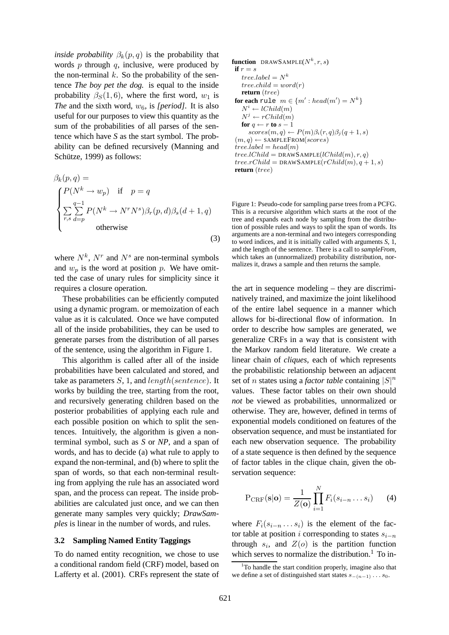*inside probability*  $\beta_k(p,q)$  is the probability that words  $p$  through  $q$ , inclusive, were produced by the non-terminal  $k$ . So the probability of the sentence *The boy pet the dog.* is equal to the inside probability  $\beta_S(1, 6)$ , where the first word,  $w_1$  is *The* and the sixth word,  $w_6$ , is *[period]*. It is also useful for our purposes to view this quantity as the sum of the probabilities of all parses of the sentence which have *S* as the start symbol. The probability can be defined recursively (Manning and Schütze, 1999) as follows:

$$
\beta_k(p,q) =
$$
\n
$$
\begin{cases}\nP(N^k \to w_p) & \text{if } p = q \\
\sum_{r,s} \sum_{d=p}^{q-1} P(N^k \to N^r N^s) \beta_r(p,d) \beta_s(d+1,q) \\
\text{otherwise}\n\end{cases}
$$
\n(3)

where  $N^k$ ,  $N^r$  and  $N^s$  are non-terminal symbols and  $w_p$  is the word at position p. We have omitted the case of unary rules for simplicity since it requires a closure operation.

These probabilities can be efficiently computed using a dynamic program. or memoization of each value as it is calculated. Once we have computed all of the inside probabilities, they can be used to generate parses from the distribution of all parses of the sentence, using the algorithm in Figure 1.

This algorithm is called after all of the inside probabilities have been calculated and stored, and take as parameters  $S$ , 1, and  $length(sentence)$ . It works by building the tree, starting from the root, and recursively generating children based on the posterior probabilities of applying each rule and each possible position on which to split the sentences. Intuitively, the algorithm is given a nonterminal symbol, such as *S* or *NP*, and a span of words, and has to decide (a) what rule to apply to expand the non-terminal, and (b) where to split the span of words, so that each non-terminal resulting from applying the rule has an associated word span, and the process can repeat. The inside probabilities are calculated just once, and we can then generate many samples very quickly; *DrawSamples* is linear in the number of words, and rules.

## **3.2 Sampling Named Entity Taggings**

To do named entity recognition, we chose to use a conditional random field (CRF) model, based on Lafferty et al. (2001). CRFs represent the state of

function 
$$
DRAWSAMPLE(N^k, r, s)
$$
\nif  $r = s$ \n tree-label =  $N^k$ \n treechild = word(r)\n return (tree)\nfor each rule  $m \in \{m' : head(m') = N^k\}$ \n $N^i \leftarrow \text{lChild}(m)$ \n $N^j \leftarrow \text{rChild}(m)$ \nfor  $q \leftarrow r$  to  $s - 1$ \n scores(m, q)  $\leftarrow P(m)\beta_i(r, q)\beta_j(q + 1, s)$ \n $(m, q) \leftarrow \text{SAMPLEROM}(scores)$ \n tree-label = head(m)\n tree.lChild = DRAWSAMPLE(lChild(m), r, q)\n tree.rChild = DRAWSAMPLE(rChild(m), q + 1, s)\nreturn (tree)\n

Figure 1: Pseudo-code for sampling parse trees from a PCFG. This is a recursive algorithm which starts at the root of the tree and expands each node by sampling from the distribution of possible rules and ways to split the span of words. Its arguments are a non-terminal and two integers corresponding to word indices, and it is initially called with arguments *S*, 1, and the length of the sentence. There is a call to *sampleFrom*, which takes an (unnormalized) probability distribution, normalizes it, draws a sample and then returns the sample.

the art in sequence modeling – they are discriminatively trained, and maximize the joint likelihood of the entire label sequence in a manner which allows for bi-directional flow of information. In order to describe how samples are generated, we generalize CRFs in a way that is consistent with the Markov random field literature. We create a linear chain of *cliques*, each of which represents the probabilistic relationship between an adjacent set of *n* states using a *factor table* containing  $|S|^n$ values. These factor tables on their own should *not* be viewed as probabilities, unnormalized or otherwise. They are, however, defined in terms of exponential models conditioned on features of the observation sequence, and must be instantiated for each new observation sequence. The probability of a state sequence is then defined by the sequence of factor tables in the clique chain, given the observation sequence:

$$
P_{CRF}(\mathbf{s}|\mathbf{o}) = \frac{1}{Z(\mathbf{o})} \prod_{i=1}^{N} F_i(s_{i-n} \dots s_i)
$$
 (4)

where  $F_i(s_{i-n} \dots s_i)$  is the element of the factor table at position *i* corresponding to states  $s_{i-n}$ through  $s_i$ , and  $Z(o)$  is the partition function which serves to normalize the distribution. $1$  To in-

<sup>&</sup>lt;sup>1</sup>To handle the start condition properly, imagine also that we define a set of distinguished start states  $s_{-(n-1)} \ldots s_0$ .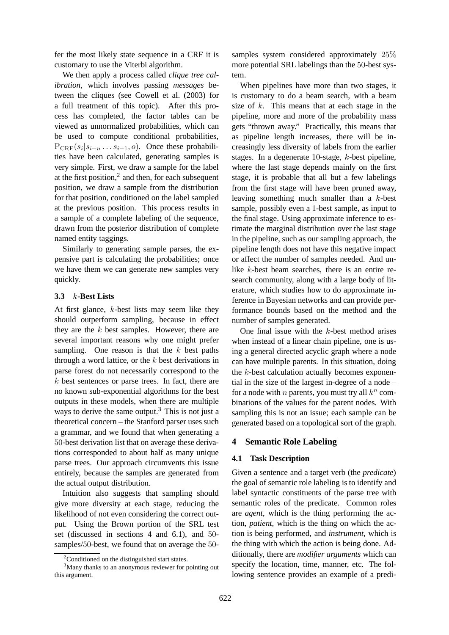fer the most likely state sequence in a CRF it is customary to use the Viterbi algorithm.

We then apply a process called *clique tree calibration*, which involves passing *messages* between the cliques (see Cowell et al. (2003) for a full treatment of this topic). After this process has completed, the factor tables can be viewed as unnormalized probabilities, which can be used to compute conditional probabilities,  $P_{CRF}(s_i|s_{i-n} \ldots s_{i-1}, o)$ . Once these probabilities have been calculated, generating samples is very simple. First, we draw a sample for the label at the first position, $2$  and then, for each subsequent position, we draw a sample from the distribution for that position, conditioned on the label sampled at the previous position. This process results in a sample of a complete labeling of the sequence, drawn from the posterior distribution of complete named entity taggings.

Similarly to generating sample parses, the expensive part is calculating the probabilities; once we have them we can generate new samples very quickly.

## **3.3** k**-Best Lists**

At first glance, k-best lists may seem like they should outperform sampling, because in effect they are the  $k$  best samples. However, there are several important reasons why one might prefer sampling. One reason is that the  $k$  best paths through a word lattice, or the  $k$  best derivations in parse forest do not necessarily correspond to the k best sentences or parse trees. In fact, there are no known sub-exponential algorithms for the best outputs in these models, when there are multiple ways to derive the same output.<sup>3</sup> This is not just a theoretical concern – the Stanford parser uses such a grammar, and we found that when generating a 50-best derivation list that on average these derivations corresponded to about half as many unique parse trees. Our approach circumvents this issue entirely, because the samples are generated from the actual output distribution.

Intuition also suggests that sampling should give more diversity at each stage, reducing the likelihood of not even considering the correct output. Using the Brown portion of the SRL test set (discussed in sections 4 and 6.1), and 50 samples/50-best, we found that on average the 50samples system considered approximately 25% more potential SRL labelings than the 50-best system.

When pipelines have more than two stages, it is customary to do a beam search, with a beam size of  $k$ . This means that at each stage in the pipeline, more and more of the probability mass gets "thrown away." Practically, this means that as pipeline length increases, there will be increasingly less diversity of labels from the earlier stages. In a degenerate 10-stage, k-best pipeline, where the last stage depends mainly on the first stage, it is probable that all but a few labelings from the first stage will have been pruned away, leaving something much smaller than a k-best sample, possibly even a 1-best sample, as input to the final stage. Using approximate inference to estimate the marginal distribution over the last stage in the pipeline, such as our sampling approach, the pipeline length does not have this negative impact or affect the number of samples needed. And unlike k-best beam searches, there is an entire research community, along with a large body of literature, which studies how to do approximate inference in Bayesian networks and can provide performance bounds based on the method and the number of samples generated.

One final issue with the  $k$ -best method arises when instead of a linear chain pipeline, one is using a general directed acyclic graph where a node can have multiple parents. In this situation, doing the  $k$ -best calculation actually becomes exponential in the size of the largest in-degree of a node – for a node with *n* parents, you must try all  $k^n$  combinations of the values for the parent nodes. With sampling this is not an issue; each sample can be generated based on a topological sort of the graph.

## **4 Semantic Role Labeling**

## **4.1 Task Description**

Given a sentence and a target verb (the *predicate*) the goal of semantic role labeling is to identify and label syntactic constituents of the parse tree with semantic roles of the predicate. Common roles are *agent*, which is the thing performing the action, *patient*, which is the thing on which the action is being performed, and *instrument*, which is the thing with which the action is being done. Additionally, there are *modifier arguments* which can specify the location, time, manner, etc. The following sentence provides an example of a predi-

 $2^2$ Conditioned on the distinguished start states.

<sup>3</sup>Many thanks to an anonymous reviewer for pointing out this argument.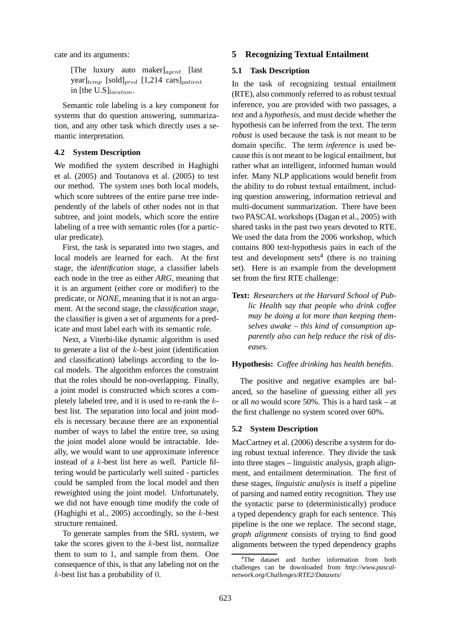cate and its arguments:

[The luxury auto maker] $_{agent}$  [last year] $_{temp}$  [sold] $_{pred}$  [1,214 cars] $_{patient}$ in [the  $\mathrm{U.S}\rangle_{location}$ .

Semantic role labeling is a key component for systems that do question answering, summarization, and any other task which directly uses a semantic interpretation.

#### **4.2 System Description**

We modified the system described in Haghighi et al. (2005) and Toutanova et al. (2005) to test our method. The system uses both local models, which score subtrees of the entire parse tree independently of the labels of other nodes not in that subtree, and joint models, which score the entire labeling of a tree with semantic roles (for a particular predicate).

First, the task is separated into two stages, and local models are learned for each. At the first stage, the *identification stage*, a classifier labels each node in the tree as either *ARG*, meaning that it is an argument (either core or modifier) to the predicate, or *NONE*, meaning that it is not an argument. At the second stage, the *classification stage*, the classifier is given a set of arguments for a predicate and must label each with its semantic role.

Next, a Viterbi-like dynamic algorithm is used to generate a list of the  $k$ -best joint (identification and classification) labelings according to the local models. The algorithm enforces the constraint that the roles should be non-overlapping. Finally, a joint model is constructed which scores a completely labeled tree, and it is used to re-rank the kbest list. The separation into local and joint models is necessary because there are an exponential number of ways to label the entire tree, so using the joint model alone would be intractable. Ideally, we would want to use approximate inference instead of a k-best list here as well. Particle filtering would be particularly well suited - particles could be sampled from the local model and then reweighted using the joint model. Unfortunately, we did not have enough time modify the code of (Haghighi et al., 2005) accordingly, so the  $k$ -best structure remained.

To generate samples from the SRL system, we take the scores given to the  $k$ -best list, normalize them to sum to 1, and sample from them. One consequence of this, is that any labeling not on the k-best list has a probability of 0.

## **5 Recognizing Textual Entailment**

## **5.1 Task Description**

In the task of recognizing textual entailment (RTE), also commonly referred to as robust textual inference, you are provided with two passages, a *text* and a *hypothesis*, and must decide whether the hypothesis can be inferred from the text. The term *robust* is used because the task is not meant to be domain specific. The term *inference* is used because this is not meant to be logical entailment, but rather what an intelligent, informed human would infer. Many NLP applications would benefit from the ability to do robust textual entailment, including question answering, information retrieval and multi-document summarization. There have been two PASCAL workshops (Dagan et al., 2005) with shared tasks in the past two years devoted to RTE. We used the data from the 2006 workshop, which contains 800 text-hypothesis pairs in each of the test and development sets<sup>4</sup> (there is no training set). Here is an example from the development set from the first RTE challenge:

**Text:** *Researchers at the Harvard School of Public Health say that people who drink coffee may be doing a lot more than keeping themselves awake – this kind of consumption apparently also can help reduce the risk of diseases.*

#### **Hypothesis:** *Coffee drinking has health benefits.*

The positive and negative examples are balanced, so the baseline of guessing either all *yes* or all *no* would score 50%. This is a hard task – at the first challenge no system scored over 60%.

#### **5.2 System Description**

MacCartney et al. (2006) describe a system for doing robust textual inference. They divide the task into three stages – linguistic analysis, graph alignment, and entailment determination. The first of these stages, *linguistic analysis* is itself a pipeline of parsing and named entity recognition. They use the syntactic parse to (deterministically) produce a typed dependency graph for each sentence. This pipeline is the one we replace. The second stage, *graph alignment* consists of trying to find good alignments between the typed dependency graphs

<sup>&</sup>lt;sup>4</sup>The dataset and further information from both challenges can be downloaded from *http://www.pascalnetwork.org/Challenges/RTE2/Datasets/*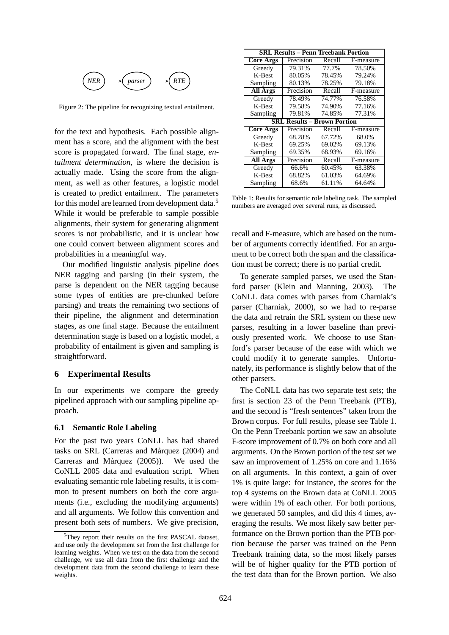

Figure 2: The pipeline for recognizing textual entailment.

for the text and hypothesis. Each possible alignment has a score, and the alignment with the best score is propagated forward. The final stage, *entailment determination*, is where the decision is actually made. Using the score from the alignment, as well as other features, a logistic model is created to predict entailment. The parameters for this model are learned from development data.<sup>5</sup> While it would be preferable to sample possible alignments, their system for generating alignment scores is not probabilistic, and it is unclear how one could convert between alignment scores and probabilities in a meaningful way.

Our modified linguistic analysis pipeline does NER tagging and parsing (in their system, the parse is dependent on the NER tagging because some types of entities are pre-chunked before parsing) and treats the remaining two sections of their pipeline, the alignment and determination stages, as one final stage. Because the entailment determination stage is based on a logistic model, a probability of entailment is given and sampling is straightforward.

#### **6 Experimental Results**

In our experiments we compare the greedy pipelined approach with our sampling pipeline approach.

## **6.1 Semantic Role Labeling**

For the past two years CoNLL has had shared tasks on SRL (Carreras and Màrquez (2004) and Carreras and Màrquez (2005)). We used the CoNLL 2005 data and evaluation script. When evaluating semantic role labeling results, it is common to present numbers on both the core arguments (i.e., excluding the modifying arguments) and all arguments. We follow this convention and present both sets of numbers. We give precision,

| <b>SRL Results – Penn Treebank Portion</b> |           |        |           |  |
|--------------------------------------------|-----------|--------|-----------|--|
| <b>Core Args</b>                           | Precision | Recall | F-measure |  |
| Greedy                                     | 79.31%    | 77.7%  | 78.50%    |  |
| K-Best                                     | 80.05%    | 78.45% | 79.24%    |  |
| Sampling                                   | 80.13%    | 78.25% | 79.18%    |  |
| <b>All Args</b>                            | Precision | Recall | F-measure |  |
| Greedy                                     | 78.49%    | 74.77% | 76.58%    |  |
| K-Best                                     | 79.58%    | 74.90% | 77.16%    |  |
| Sampling                                   | 79.81%    | 74.85% | 77.31%    |  |
| <b>SRL Results - Brown Portion</b>         |           |        |           |  |
|                                            |           |        |           |  |
| <b>Core Args</b>                           | Precision | Recall | F-measure |  |
| Greedy                                     | 68.28%    | 67.72% | 68.0%     |  |
| K-Best                                     | 69.25%    | 69.02% | 69.13%    |  |
| Sampling                                   | 69.35%    | 68.93% | 69.16%    |  |
| <b>All Args</b>                            | Precision | Recall | F-measure |  |
| Greedy                                     | 66.6%     | 60.45% | 63.38%    |  |
| K-Best                                     | 68.82%    | 61.03% | 64.69%    |  |

Table 1: Results for semantic role labeling task. The sampled numbers are averaged over several runs, as discussed.

recall and F-measure, which are based on the number of arguments correctly identified. For an argument to be correct both the span and the classification must be correct; there is no partial credit.

To generate sampled parses, we used the Stanford parser (Klein and Manning, 2003). The CoNLL data comes with parses from Charniak's parser (Charniak, 2000), so we had to re-parse the data and retrain the SRL system on these new parses, resulting in a lower baseline than previously presented work. We choose to use Stanford's parser because of the ease with which we could modify it to generate samples. Unfortunately, its performance is slightly below that of the other parsers.

The CoNLL data has two separate test sets; the first is section 23 of the Penn Treebank (PTB), and the second is "fresh sentences" taken from the Brown corpus. For full results, please see Table 1. On the Penn Treebank portion we saw an absolute F-score improvement of 0.7% on both core and all arguments. On the Brown portion of the test set we saw an improvement of 1.25% on core and 1.16% on all arguments. In this context, a gain of over 1% is quite large: for instance, the scores for the top 4 systems on the Brown data at CoNLL 2005 were within 1% of each other. For both portions, we generated 50 samples, and did this 4 times, averaging the results. We most likely saw better performance on the Brown portion than the PTB portion because the parser was trained on the Penn Treebank training data, so the most likely parses will be of higher quality for the PTB portion of the test data than for the Brown portion. We also

<sup>&</sup>lt;sup>5</sup>They report their results on the first PASCAL dataset, and use only the development set from the first challenge for learning weights. When we test on the data from the second challenge, we use all data from the first challenge and the development data from the second challenge to learn these weights.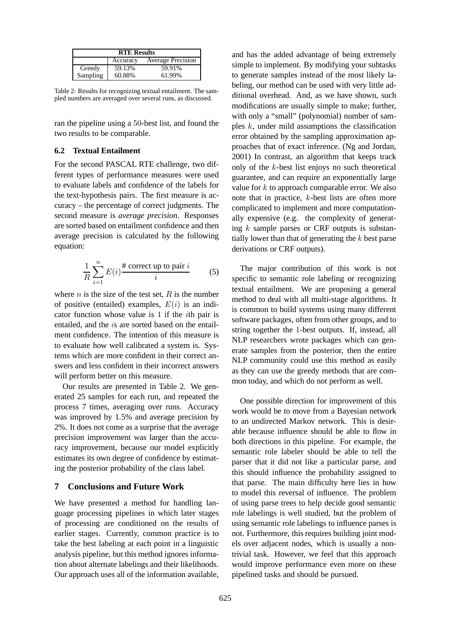| <b>RTE Results</b> |          |                          |  |
|--------------------|----------|--------------------------|--|
|                    | Accuracy | <b>Average Precision</b> |  |
| Greedy             | 59.13%   | 59.91%                   |  |
| Sampling           | 60.88%   | 61.99%                   |  |

Table 2: Results for recognizing textual entailment. The sampled numbers are averaged over several runs, as discussed.

ran the pipeline using a 50-best list, and found the two results to be comparable.

## **6.2 Textual Entailment**

For the second PASCAL RTE challenge, two different types of performance measures were used to evaluate labels and confidence of the labels for the text-hypothesis pairs. The first measure is accuracy – the percentage of correct judgments. The second measure is *average precision*. Responses are sorted based on entailment confidence and then average precision is calculated by the following equation:

$$
\frac{1}{R} \sum_{i=1}^{n} E(i) \frac{\text{# correct up to pair } i}{i}
$$
 (5)

where *n* is the size of the test set,  $R$  is the number of positive (entailed) examples,  $E(i)$  is an indicator function whose value is 1 if the ith pair is entailed, and the is are sorted based on the entailment confidence. The intention of this measure is to evaluate how well calibrated a system is. Systems which are more confident in their correct answers and less confident in their incorrect answers will perform better on this measure.

Our results are presented in Table 2. We generated 25 samples for each run, and repeated the process 7 times, averaging over runs. Accuracy was improved by 1.5% and average precision by 2%. It does not come as a surprise that the average precision improvement was larger than the accuracy improvement, because our model explicitly estimates its own degree of confidence by estimating the posterior probability of the class label.

## **7 Conclusions and Future Work**

We have presented a method for handling language processing pipelines in which later stages of processing are conditioned on the results of earlier stages. Currently, common practice is to take the best labeling at each point in a linguistic analysis pipeline, but this method ignores information about alternate labelings and their likelihoods. Our approach uses all of the information available,

and has the added advantage of being extremely simple to implement. By modifying your subtasks to generate samples instead of the most likely labeling, our method can be used with very little additional overhead. And, as we have shown, such modifications are usually simple to make; further, with only a "small" (polynomial) number of samples  $k$ , under mild assumptions the classification error obtained by the sampling approximation approaches that of exact inference. (Ng and Jordan, 2001) In contrast, an algorithm that keeps track only of the k-best list enjoys no such theoretical guarantee, and can require an exponentially large value for  $k$  to approach comparable error. We also note that in practice, k-best lists are often more complicated to implement and more computationally expensive (e.g. the complexity of generating  $k$  sample parses or CRF outputs is substantially lower than that of generating the k best parse derivations or CRF outputs).

The major contribution of this work is not specific to semantic role labeling or recognizing textual entailment. We are proposing a general method to deal with all multi-stage algorithms. It is common to build systems using many different software packages, often from other groups, and to string together the 1-best outputs. If, instead, all NLP researchers wrote packages which can generate samples from the posterior, then the entire NLP community could use this method as easily as they can use the greedy methods that are common today, and which do not perform as well.

One possible direction for improvement of this work would be to move from a Bayesian network to an undirected Markov network. This is desirable because influence should be able to flow in both directions in this pipeline. For example, the semantic role labeler should be able to tell the parser that it did not like a particular parse, and this should influence the probability assigned to that parse. The main difficulty here lies in how to model this reversal of influence. The problem of using parse trees to help decide good semantic role labelings is well studied, but the problem of using semantic role labelings to influence parses is not. Furthermore, this requires building joint models over adjacent nodes, which is usually a nontrivial task. However, we feel that this approach would improve performance even more on these pipelined tasks and should be pursued.